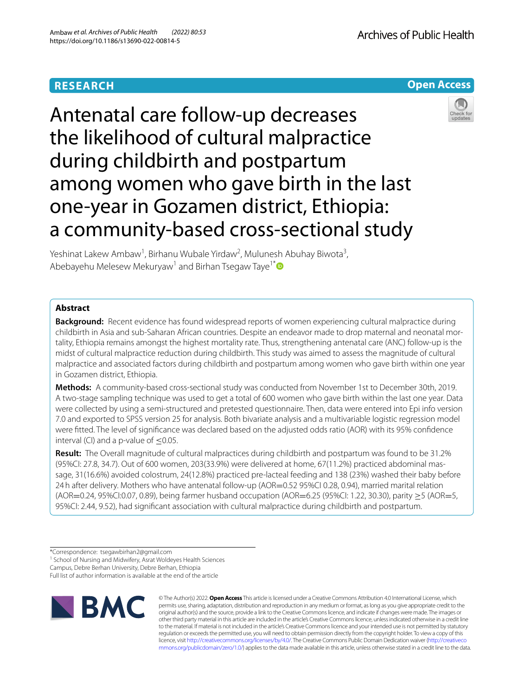# **RESEARCH**

**Open Access**

# Antenatal care follow-up decreases the likelihood of cultural malpractice during childbirth and postpartum among women who gave birth in the last one-year in Gozamen district, Ethiopia: a community-based cross-sectional study



Yeshinat Lakew Ambaw<sup>1</sup>, Birhanu Wubale Yirdaw<sup>2</sup>, Mulunesh Abuhay Biwota<sup>3</sup>, Abebayehu Melesew Mekuryaw<sup>1</sup> and Birhan Tsegaw Taye<sup>1[\\*](http://orcid.org/0000-0003-2174-3797)</sup>

# **Abstract**

**Background:** Recent evidence has found widespread reports of women experiencing cultural malpractice during childbirth in Asia and sub-Saharan African countries. Despite an endeavor made to drop maternal and neonatal mortality, Ethiopia remains amongst the highest mortality rate. Thus, strengthening antenatal care (ANC) follow-up is the midst of cultural malpractice reduction during childbirth. This study was aimed to assess the magnitude of cultural malpractice and associated factors during childbirth and postpartum among women who gave birth within one year in Gozamen district, Ethiopia.

**Methods:** A community-based cross-sectional study was conducted from November 1st to December 30th, 2019. A two-stage sampling technique was used to get a total of 600 women who gave birth within the last one year. Data were collected by using a semi-structured and pretested questionnaire. Then, data were entered into Epi info version 7.0 and exported to SPSS version 25 for analysis. Both bivariate analysis and a multivariable logistic regression model were ftted. The level of signifcance was declared based on the adjusted odds ratio (AOR) with its 95% confdence interval (CI) and a p-value of  $\leq$ 0.05.

**Result:** The Overall magnitude of cultural malpractices during childbirth and postpartum was found to be 31.2% (95%CI: 27.8, 34.7). Out of 600 women, 203(33.9%) were delivered at home, 67(11.2%) practiced abdominal massage, 31(16.6%) avoided colostrum, 24(12.8%) practiced pre-lacteal feeding and 138 (23%) washed their baby before 24h after delivery. Mothers who have antenatal follow-up (AOR=0.52 95%CI 0.28, 0.94), married marital relation (AOR=0.24, 95%CI:0.07, 0.89), being farmer husband occupation (AOR=6.25 (95%CI: 1.22, 30.30), parity ≥5 (AOR=5, 95%CI: 2.44, 9.52), had signifcant association with cultural malpractice during childbirth and postpartum.

<sup>1</sup> School of Nursing and Midwifery, Asrat Woldeyes Health Sciences

Campus, Debre Berhan University, Debre Berhan, Ethiopia

Full list of author information is available at the end of the article



© The Author(s) 2022. **Open Access** This article is licensed under a Creative Commons Attribution 4.0 International License, which permits use, sharing, adaptation, distribution and reproduction in any medium or format, as long as you give appropriate credit to the original author(s) and the source, provide a link to the Creative Commons licence, and indicate if changes were made. The images or other third party material in this article are included in the article's Creative Commons licence, unless indicated otherwise in a credit line to the material. If material is not included in the article's Creative Commons licence and your intended use is not permitted by statutory regulation or exceeds the permitted use, you will need to obtain permission directly from the copyright holder. To view a copy of this licence, visit [http://creativecommons.org/licenses/by/4.0/.](http://creativecommons.org/licenses/by/4.0/) The Creative Commons Public Domain Dedication waiver ([http://creativeco](http://creativecommons.org/publicdomain/zero/1.0/) [mmons.org/publicdomain/zero/1.0/](http://creativecommons.org/publicdomain/zero/1.0/)) applies to the data made available in this article, unless otherwise stated in a credit line to the data.

<sup>\*</sup>Correspondence: tsegawbirhan2@gmail.com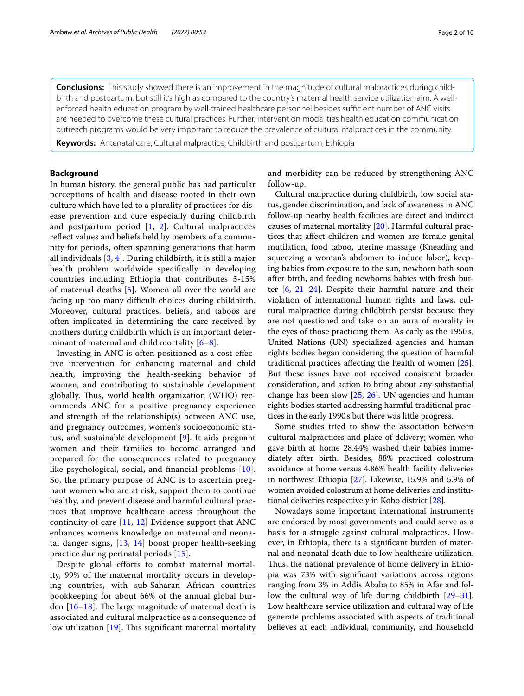**Conclusions:** This study showed there is an improvement in the magnitude of cultural malpractices during childbirth and postpartum, but still it's high as compared to the country's maternal health service utilization aim. A wellenforced health education program by well-trained healthcare personnel besides sufficient number of ANC visits are needed to overcome these cultural practices. Further, intervention modalities health education communication outreach programs would be very important to reduce the prevalence of cultural malpractices in the community.

**Keywords:** Antenatal care, Cultural malpractice, Childbirth and postpartum, Ethiopia

# **Background**

In human history, the general public has had particular perceptions of health and disease rooted in their own culture which have led to a plurality of practices for disease prevention and cure especially during childbirth and postpartum period  $[1, 2]$  $[1, 2]$  $[1, 2]$  $[1, 2]$ . Cultural malpractices refect values and beliefs held by members of a community for periods, often spanning generations that harm all individuals [\[3](#page-8-1), [4](#page-8-2)]. During childbirth, it is still a major health problem worldwide specifcally in developing countries including Ethiopia that contributes 5-15% of maternal deaths [[5\]](#page-8-3). Women all over the world are facing up too many difficult choices during childbirth. Moreover, cultural practices, beliefs, and taboos are often implicated in determining the care received by mothers during childbirth which is an important deter-minant of maternal and child mortality [[6–](#page-8-4)[8\]](#page-8-5).

Investing in ANC is often positioned as a cost-efective intervention for enhancing maternal and child health, improving the health-seeking behavior of women, and contributing to sustainable development globally. Thus, world health organization (WHO) recommends ANC for a positive pregnancy experience and strength of the relationship(s) between ANC use, and pregnancy outcomes, women's socioeconomic status, and sustainable development [\[9\]](#page-8-6). It aids pregnant women and their families to become arranged and prepared for the consequences related to pregnancy like psychological, social, and fnancial problems [[10\]](#page-8-7). So, the primary purpose of ANC is to ascertain pregnant women who are at risk, support them to continue healthy, and prevent disease and harmful cultural practices that improve healthcare access throughout the continuity of care [[11](#page-8-8), [12\]](#page-8-9) Evidence support that ANC enhances women's knowledge on maternal and neonatal danger signs, [\[13](#page-8-10), [14\]](#page-8-11) boost proper health-seeking practice during perinatal periods [[15](#page-8-12)].

Despite global efforts to combat maternal mortality, 99% of the maternal mortality occurs in developing countries, with sub-Saharan African countries bookkeeping for about 66% of the annual global burden  $[16-18]$  $[16-18]$  $[16-18]$ . The large magnitude of maternal death is associated and cultural malpractice as a consequence of low utilization  $[19]$ . This significant maternal mortality and morbidity can be reduced by strengthening ANC follow-up.

Cultural malpractice during childbirth, low social status, gender discrimination, and lack of awareness in ANC follow-up nearby health facilities are direct and indirect causes of maternal mortality [\[20](#page-8-16)]. Harmful cultural practices that afect children and women are female genital mutilation, food taboo, uterine massage (Kneading and squeezing a woman's abdomen to induce labor), keeping babies from exposure to the sun, newborn bath soon after birth, and feeding newborns babies with fresh butter [[6,](#page-8-4) [21](#page-8-17)[–24](#page-8-18)]. Despite their harmful nature and their violation of international human rights and laws, cultural malpractice during childbirth persist because they are not questioned and take on an aura of morality in the eyes of those practicing them. As early as the 1950s, United Nations (UN) specialized agencies and human rights bodies began considering the question of harmful traditional practices afecting the health of women [\[25](#page-8-19)]. But these issues have not received consistent broader consideration, and action to bring about any substantial change has been slow [[25,](#page-8-19) [26\]](#page-8-20). UN agencies and human rights bodies started addressing harmful traditional practices in the early 1990s but there was little progress.

Some studies tried to show the association between cultural malpractices and place of delivery; women who gave birth at home 28.44% washed their babies immediately after birth. Besides, 88% practiced colostrum avoidance at home versus 4.86% health facility deliveries in northwest Ethiopia [\[27\]](#page-8-21). Likewise, 15.9% and 5.9% of women avoided colostrum at home deliveries and institutional deliveries respectively in Kobo district [[28](#page-8-22)].

Nowadays some important international instruments are endorsed by most governments and could serve as a basis for a struggle against cultural malpractices. However, in Ethiopia, there is a signifcant burden of maternal and neonatal death due to low healthcare utilization. Thus, the national prevalence of home delivery in Ethiopia was 73% with signifcant variations across regions ranging from 3% in Addis Ababa to 85% in Afar and follow the cultural way of life during childbirth [[29](#page-8-23)[–31](#page-8-24)]. Low healthcare service utilization and cultural way of life generate problems associated with aspects of traditional believes at each individual, community, and household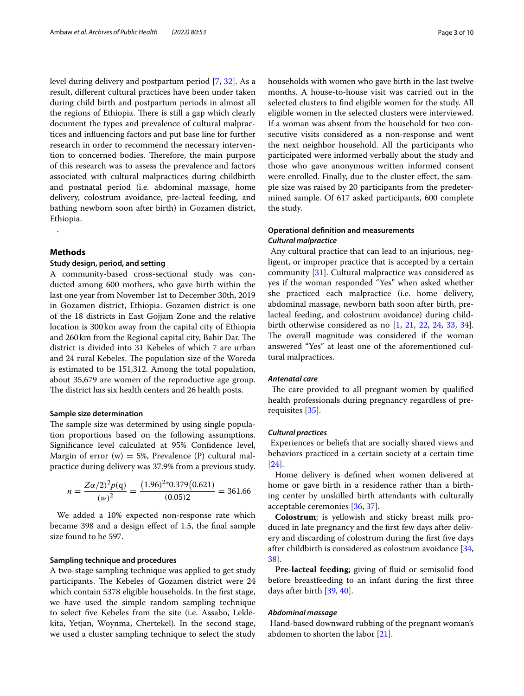level during delivery and postpartum period [[7,](#page-8-25) [32](#page-8-26)]. As a result, diferent cultural practices have been under taken during child birth and postpartum periods in almost all the regions of Ethiopia. There is still a gap which clearly document the types and prevalence of cultural malpractices and infuencing factors and put base line for further research in order to recommend the necessary intervention to concerned bodies. Therefore, the main purpose of this research was to assess the prevalence and factors associated with cultural malpractices during childbirth and postnatal period (i.e. abdominal massage, home delivery, colostrum avoidance, pre-lacteal feeding, and bathing newborn soon after birth) in Gozamen district, Ethiopia.

# **Methods**

.

## **Study design, period, and setting**

A community-based cross-sectional study was conducted among 600 mothers, who gave birth within the last one year from November 1st to December 30th, 2019 in Gozamen district, Ethiopia. Gozamen district is one of the 18 districts in East Gojjam Zone and the relative location is 300km away from the capital city of Ethiopia and 260 km from the Regional capital city, Bahir Dar. The district is divided into 31 Kebeles of which 7 are urban and 24 rural Kebeles. The population size of the Woreda is estimated to be 151,312. Among the total population, about 35,679 are women of the reproductive age group. The district has six health centers and 26 health posts.

#### **Sample size determination**

The sample size was determined by using single population proportions based on the following assumptions. Signifcance level calculated at 95% Confdence level, Margin of error (w) = 5%, Prevalence (P) cultural malpractice during delivery was 37.9% from a previous study.

$$
n = \frac{Z\alpha/2^2 p(q)}{(w)^2} = \frac{(1.96)^{2*} 0.379 (0.621)}{(0.05)2} = 361.66
$$

We added a 10% expected non-response rate which became 398 and a design efect of 1.5, the fnal sample size found to be 597.

#### **Sampling technique and procedures**

A two-stage sampling technique was applied to get study participants. The Kebeles of Gozamen district were 24 which contain 5378 eligible households. In the frst stage, we have used the simple random sampling technique to select fve Kebeles from the site (i.e. Assabo, Leklekita, Yetjan, Woynma, Chertekel). In the second stage, we used a cluster sampling technique to select the study households with women who gave birth in the last twelve months. A house-to-house visit was carried out in the selected clusters to fnd eligible women for the study. All eligible women in the selected clusters were interviewed. If a woman was absent from the household for two consecutive visits considered as a non-response and went the next neighbor household. All the participants who participated were informed verbally about the study and those who gave anonymous written informed consent were enrolled. Finally, due to the cluster effect, the sample size was raised by 20 participants from the predeter-

# **Operational defnition and measurements** *Cultural malpractice*

 Any cultural practice that can lead to an injurious, negligent, or improper practice that is accepted by a certain community [[31\]](#page-8-24). Cultural malpractice was considered as yes if the woman responded "Yes" when asked whether she practiced each malpractice (i.e. home delivery, abdominal massage, newborn bath soon after birth, prelacteal feeding, and colostrum avoidance) during childbirth otherwise considered as no [\[1,](#page-7-0) [21,](#page-8-17) [22](#page-8-27), [24,](#page-8-18) [33,](#page-8-28) [34](#page-8-29)]. The overall magnitude was considered if the woman answered ''Yes'' at least one of the aforementioned cultural malpractices.

mined sample. Of 617 asked participants, 600 complete

# *Antenatal care*

the study.

The care provided to all pregnant women by qualified health professionals during pregnancy regardless of prerequisites [[35](#page-8-30)].

## *Cultural practices*

 Experiences or beliefs that are socially shared views and behaviors practiced in a certain society at a certain time [[24\]](#page-8-18).

Home delivery is defned when women delivered at home or gave birth in a residence rather than a birthing center by unskilled birth attendants with culturally acceptable ceremonies [\[36,](#page-8-31) [37](#page-8-32)].

**Colostrum**; is yellowish and sticky breast milk produced in late pregnancy and the frst few days after delivery and discarding of colostrum during the frst fve days after childbirth is considered as colostrum avoidance [[34](#page-8-29), [38\]](#page-8-33).

**Pre-lacteal feeding**; giving of fuid or semisolid food before breastfeeding to an infant during the frst three days after birth [\[39,](#page-8-34) [40](#page-8-35)].

#### *Abdominal massage*

 Hand-based downward rubbing of the pregnant woman's abdomen to shorten the labor [[21](#page-8-17)].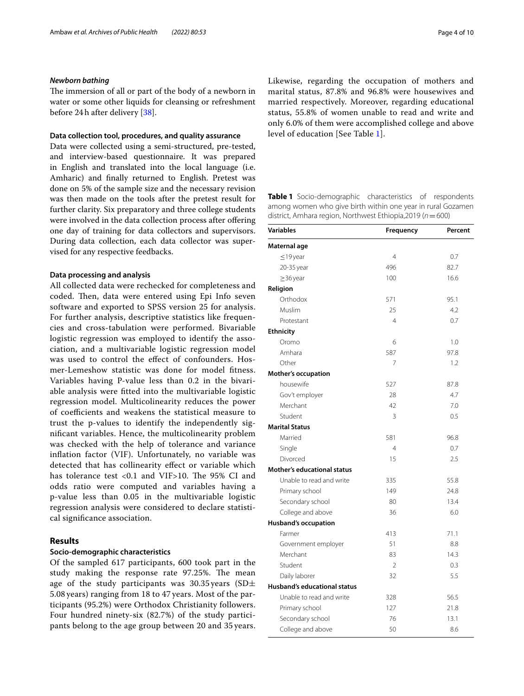## *Newborn bathing*

The immersion of all or part of the body of a newborn in water or some other liquids for cleansing or refreshment before 24h after delivery [[38\]](#page-8-33).

## **Data collection tool, procedures, and quality assurance**

Data were collected using a semi-structured, pre-tested, and interview-based questionnaire. It was prepared in English and translated into the local language (i.e. Amharic) and fnally returned to English. Pretest was done on 5% of the sample size and the necessary revision was then made on the tools after the pretest result for further clarity. Six preparatory and three college students were involved in the data collection process after offering one day of training for data collectors and supervisors. During data collection, each data collector was supervised for any respective feedbacks.

## **Data processing and analysis**

All collected data were rechecked for completeness and coded. Then, data were entered using Epi Info seven software and exported to SPSS version 25 for analysis. For further analysis, descriptive statistics like frequencies and cross-tabulation were performed. Bivariable logistic regression was employed to identify the association, and a multivariable logistic regression model was used to control the efect of confounders. Hosmer-Lemeshow statistic was done for model ftness. Variables having P-value less than 0.2 in the bivariable analysis were ftted into the multivariable logistic regression model. Multicolinearity reduces the power of coefficients and weakens the statistical measure to trust the p-values to identify the independently signifcant variables. Hence, the multicolinearity problem was checked with the help of tolerance and variance infation factor (VIF). Unfortunately, no variable was detected that has collinearity efect or variable which has tolerance test <0.1 and VIF>10. The 95% CI and odds ratio were computed and variables having a p-value less than 0.05 in the multivariable logistic regression analysis were considered to declare statistical signifcance association.

# **Results**

## **Socio‑demographic characteristics**

Of the sampled 617 participants, 600 took part in the study making the response rate 97.25%. The mean age of the study participants was  $30.35$  years (SD $\pm$ 5.08 years) ranging from 18 to 47 years. Most of the participants (95.2%) were Orthodox Christianity followers. Four hundred ninety-six (82.7%) of the study participants belong to the age group between 20 and 35 years. Likewise, regarding the occupation of mothers and marital status, 87.8% and 96.8% were housewives and married respectively. Moreover, regarding educational status, 55.8% of women unable to read and write and only 6.0% of them were accomplished college and above level of education [See Table [1](#page-3-0)].

<span id="page-3-0"></span>**Table 1** Socio-demographic characteristics of respondents among women who give birth within one year in rural Gozamen district, Amhara region, Northwest Ethiopia,2019 (*n*=600)

| <b>Variables</b>                    | Frequency      | Percent |
|-------------------------------------|----------------|---------|
| Maternal age                        |                |         |
| $\leq$ 19 year                      | 4              | 0.7     |
| 20-35 year                          | 496            | 82.7    |
| $\geq$ 36 year                      | 100            | 16.6    |
| Religion                            |                |         |
| Orthodox                            | 571            | 95.1    |
| Muslim                              | 25             | 4.2     |
| Protestant                          | $\overline{4}$ | 0.7     |
| <b>Ethnicity</b>                    |                |         |
| Oromo                               | 6              | 1.0     |
| Amhara                              | 587            | 97.8    |
| Other                               | 7              | 1.2     |
| <b>Mother's occupation</b>          |                |         |
| housewife                           | 527            | 87.8    |
| Gov't employer                      | 28             | 4.7     |
| Merchant                            | 42             | 7.0     |
| Student                             | 3              | 0.5     |
| <b>Marital Status</b>               |                |         |
| Married                             | 581            | 96.8    |
| Single                              | $\overline{4}$ | 0.7     |
| Divorced                            | 15             | 2.5     |
| <b>Mother's educational status</b>  |                |         |
| Unable to read and write            | 335            | 55.8    |
| Primary school                      | 149            | 24.8    |
| Secondary school                    | 80             | 13.4    |
| College and above                   | 36             | 6.0     |
| <b>Husband's occupation</b>         |                |         |
| Farmer                              | 413            | 71.1    |
| Government employer                 | 51             | 8.8     |
| Merchant                            | 83             | 14.3    |
| Student                             | $\mathfrak{D}$ | 0.3     |
| Daily laborer                       | 32             | 5.5     |
| <b>Husband's educational status</b> |                |         |
| Unable to read and write            | 328            | 56.5    |
| Primary school                      | 127            | 21.8    |
| Secondary school                    | 76             | 13.1    |
| College and above                   | 50             | 8.6     |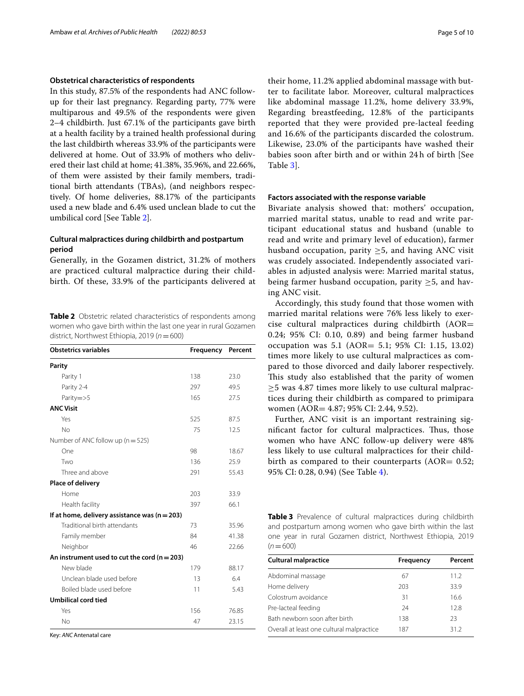## **Obstetrical characteristics of respondents**

In this study, 87.5% of the respondents had ANC followup for their last pregnancy. Regarding party, 77% were multiparous and 49.5% of the respondents were given 2–4 childbirth. Just 67.1% of the participants gave birth at a health facility by a trained health professional during the last childbirth whereas 33.9% of the participants were delivered at home. Out of 33.9% of mothers who delivered their last child at home; 41.38%, 35.96%, and 22.66%, of them were assisted by their family members, traditional birth attendants (TBAs), (and neighbors respectively. Of home deliveries, 88.17% of the participants used a new blade and 6.4% used unclean blade to cut the umbilical cord [See Table [2\]](#page-4-0).

# **Cultural malpractices during childbirth and postpartum period**

Generally, in the Gozamen district, 31.2% of mothers are practiced cultural malpractice during their childbirth. Of these, 33.9% of the participants delivered at

<span id="page-4-0"></span>**Table 2** Obstetric related characteristics of respondents among women who gave birth within the last one year in rural Gozamen district, Northwest Ethiopia, 2019 (*n*=600)

| <b>Obstetrics variables</b>                      | Frequency | Percent |
|--------------------------------------------------|-----------|---------|
| <b>Parity</b>                                    |           |         |
| Parity 1                                         | 138       | 23.0    |
| Parity 2-4                                       | 297       | 49.5    |
| Parity=>5                                        | 165       | 27.5    |
| <b>ANC Visit</b>                                 |           |         |
| Yes                                              | 525       | 87.5    |
| No                                               | 75        | 12.5    |
| Number of ANC follow up ( $n = 525$ )            |           |         |
| One                                              | 98        | 18.67   |
| Two                                              | 136       | 25.9    |
| Three and above                                  | 291       | 55.43   |
| Place of delivery                                |           |         |
| Home                                             | 203       | 33.9    |
| Health facility                                  | 397       | 66.1    |
| If at home, delivery assistance was $(n = 203)$  |           |         |
| Traditional birth attendants                     | 73        | 35.96   |
| Family member                                    | 84        | 41.38   |
| Neighbor                                         | 46        | 22.66   |
| An instrument used to cut the cord ( $n = 203$ ) |           |         |
| New blade                                        | 179       | 88.17   |
| Unclean blade used before                        | 13        | 6.4     |
| Boiled blade used before                         | 11        | 5.43    |
| Umbilical cord tied                              |           |         |
| Yes                                              | 156       | 76.85   |
| No                                               | 47        | 23.15   |

Key: *ANC* Antenatal care

their home, 11.2% applied abdominal massage with butter to facilitate labor. Moreover, cultural malpractices like abdominal massage 11.2%, home delivery 33.9%, Regarding breastfeeding, 12.8% of the participants reported that they were provided pre-lacteal feeding and 16.6% of the participants discarded the colostrum. Likewise, 23.0% of the participants have washed their babies soon after birth and or within 24 h of birth [See Table [3](#page-4-1)].

## **Factors associated with the response variable**

Bivariate analysis showed that: mothers' occupation, married marital status, unable to read and write participant educational status and husband (unable to read and write and primary level of education), farmer husband occupation, parity  $\geq$ 5, and having ANC visit was crudely associated. Independently associated variables in adjusted analysis were: Married marital status, being farmer husband occupation, parity  $\geq$ 5, and having ANC visit.

Accordingly, this study found that those women with married marital relations were 76% less likely to exercise cultural malpractices during childbirth (AOR= 0.24; 95% CI: 0.10, 0.89) and being farmer husband occupation was 5.1 (AOR= 5.1; 95% CI: 1.15, 13.02) times more likely to use cultural malpractices as compared to those divorced and daily laborer respectively. This study also established that the parity of women ≥5 was 4.87 times more likely to use cultural malpractices during their childbirth as compared to primipara women (AOR= 4.87; 95% CI: 2.44, 9.52).

Further, ANC visit is an important restraining significant factor for cultural malpractices. Thus, those women who have ANC follow-up delivery were 48% less likely to use cultural malpractices for their childbirth as compared to their counterparts ( $AOR = 0.52$ ; 95% CI: 0.28, 0.94) (See Table [4\)](#page-5-0).

<span id="page-4-1"></span>**Table 3** Prevalence of cultural malpractices during childbirth and postpartum among women who gave birth within the last one year in rural Gozamen district, Northwest Ethiopia, 2019  $(n=600)$ 

| <b>Cultural malpractice</b>               | Frequency | Percent |  |
|-------------------------------------------|-----------|---------|--|
| Abdominal massage                         | 67        | 11.2    |  |
| Home delivery                             | 203       | 33.9    |  |
| Colostrum avoidance                       | 31        | 16.6    |  |
| Pre-lacteal feeding                       | 24        | 12.8    |  |
| Bath newborn soon after birth             | 138       | 23      |  |
| Overall at least one cultural malpractice | 187       | 31.2    |  |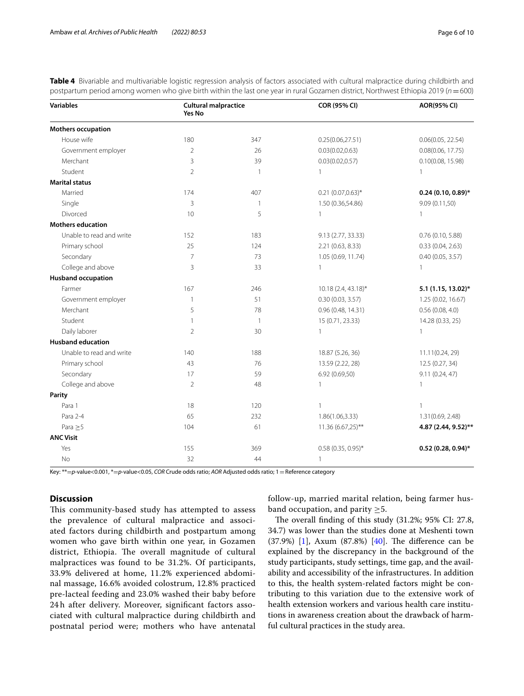| <b>Variables</b>          | <b>Cultural malpractice</b><br>Yes No |                | <b>COR (95% CI)</b>   | <b>AOR(95% CI)</b>   |  |  |  |
|---------------------------|---------------------------------------|----------------|-----------------------|----------------------|--|--|--|
| Mothers occupation        |                                       |                |                       |                      |  |  |  |
| House wife                | 180                                   | 347            | 0.25(0.06, 27.51)     | 0.06(0.05, 22.54)    |  |  |  |
| Government employer       | $\overline{2}$                        | 26             | 0.03(0.02, 0.63)      | 0.08(0.06, 17.75)    |  |  |  |
| Merchant                  | 3                                     | 39             | 0.03(0.02, 0.57)      | 0.10(0.08, 15.98)    |  |  |  |
| Student                   | $\overline{2}$                        | $\mathbf{1}$   | 1                     | 1                    |  |  |  |
| <b>Marital status</b>     |                                       |                |                       |                      |  |  |  |
| Married                   | 174                                   | 407            | $0.21 (0.07, 0.63)^*$ | $0.24(0.10, 0.89)$ * |  |  |  |
| Single                    | 3                                     | 1              | 1.50 (0.36,54.86)     | 9.09 (0.11,50)       |  |  |  |
| Divorced                  | 10                                    | 5              | $\mathbf{1}$          | 1                    |  |  |  |
| <b>Mothers education</b>  |                                       |                |                       |                      |  |  |  |
| Unable to read and write  | 152                                   | 183            | 9.13 (2.77, 33.33)    | $0.76$ (0.10, 5.88)  |  |  |  |
| Primary school            | 25                                    | 124            | 2.21 (0.63, 8.33)     | 0.33(0.04, 2.63)     |  |  |  |
| Secondary                 | $\overline{7}$                        | 73             | 1.05 (0.69, 11.74)    | 0.40(0.05, 3.57)     |  |  |  |
| College and above         | 3                                     | 33             | $\mathbf{1}$          | 1                    |  |  |  |
| <b>Husband occupation</b> |                                       |                |                       |                      |  |  |  |
| Farmer                    | 167                                   | 246            | 10.18 (2.4, 43.18)*   | 5.1 (1.15, 13.02)*   |  |  |  |
| Government employer       | $\overline{1}$                        | 51             | 0.30(0.03, 3.57)      | 1.25 (0.02, 16.67)   |  |  |  |
| Merchant                  | 5                                     | 78             | 0.96 (0.48, 14.31)    | 0.56(0.08, 4.0)      |  |  |  |
| Student                   | $\mathbf{1}$                          | $\overline{1}$ | 15 (0.71, 23.33)      | 14.28 (0.33, 25)     |  |  |  |
| Daily laborer             | $\overline{2}$                        | 30             | $\mathbf{1}$          | 1                    |  |  |  |
| <b>Husband education</b>  |                                       |                |                       |                      |  |  |  |
| Unable to read and write  | 140                                   | 188            | 18.87 (5.26, 36)      | 11.11(0.24, 29)      |  |  |  |
| Primary school            | 43                                    | 76             | 13.59 (2.22, 28)      | 12.5 (0.27, 34)      |  |  |  |
| Secondary                 | 17                                    | 59             | 6.92 (0.69,50)        | 9.11(0.24, 47)       |  |  |  |
| College and above         | $\overline{2}$                        | 48             | $\mathbf{1}$          | 1                    |  |  |  |
| Parity                    |                                       |                |                       |                      |  |  |  |
| Para 1                    | 18                                    | 120            | $\mathbf{1}$          | 1                    |  |  |  |
| Para 2-4                  | 65                                    | 232            | 1.86(1.06,3.33)       | 1.31(0.69, 2.48)     |  |  |  |
| Para $\geq$ 5             | 104                                   | 61             | 11.36 (6.67,25)**     | 4.87 (2.44, 9.52)**  |  |  |  |
| <b>ANC Visit</b>          |                                       |                |                       |                      |  |  |  |
| Yes                       | 155                                   | 369            | $0.58$ (0.35, 0.95)*  | $0.52(0.28, 0.94)$ * |  |  |  |
| No                        | 32                                    | 44             | $\mathbf{1}$          |                      |  |  |  |

<span id="page-5-0"></span>**Table 4** Bivariable and multivariable logistic regression analysis of factors associated with cultural malpractice during childbirth and postpartum period among women who give birth within the last one year in rural Gozamen district, Northwest Ethiopia 2019 (*n*=600)

Key: \*\*=*p*-value<0.001, \*=*p*-value<0.05, *COR* Crude odds ratio; *AOR* Adjusted odds ratio; 1=Reference category

## **Discussion**

This community-based study has attempted to assess the prevalence of cultural malpractice and associated factors during childbirth and postpartum among women who gave birth within one year, in Gozamen district, Ethiopia. The overall magnitude of cultural malpractices was found to be 31.2%. Of participants, 33.9% delivered at home, 11.2% experienced abdominal massage, 16.6% avoided colostrum, 12.8% practiced pre-lacteal feeding and 23.0% washed their baby before 24 h after delivery. Moreover, signifcant factors associated with cultural malpractice during childbirth and postnatal period were; mothers who have antenatal follow-up, married marital relation, being farmer husband occupation, and parity  $\geq 5$ .

The overall finding of this study (31.2%; 95% CI: 27.8, 34.7) was lower than the studies done at Meshenti town  $(37.9%)$  [[1\]](#page-7-0), Axum  $(87.8%)$  [\[40](#page-8-35)]. The difference can be explained by the discrepancy in the background of the study participants, study settings, time gap, and the availability and accessibility of the infrastructures. In addition to this, the health system-related factors might be contributing to this variation due to the extensive work of health extension workers and various health care institutions in awareness creation about the drawback of harmful cultural practices in the study area.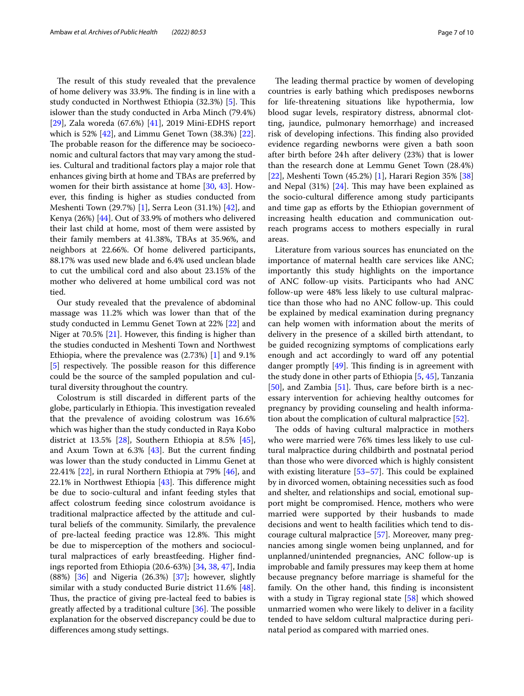The result of this study revealed that the prevalence of home delivery was 33.9%. The finding is in line with a study conducted in Northwest Ethiopia (32.3%) [[5\]](#page-8-3). This islower than the study conducted in Arba Minch (79.4%) [[29\]](#page-8-23), Zala woreda (67.6%) [\[41](#page-9-0)], 2019 Mini-EDHS report which is 52% [\[42](#page-9-1)], and Limmu Genet Town (38.3%) [\[22](#page-8-27)]. The probable reason for the difference may be socioeconomic and cultural factors that may vary among the studies. Cultural and traditional factors play a major role that enhances giving birth at home and TBAs are preferred by women for their birth assistance at home [[30,](#page-8-36) [43\]](#page-9-2). However, this fnding is higher as studies conducted from Meshenti Town (29.7%) [\[1\]](#page-7-0), Serra Leon (31.1%) [\[42](#page-9-1)], and Kenya (26%) [\[44\]](#page-9-3). Out of 33.9% of mothers who delivered their last child at home, most of them were assisted by their family members at 41.38%, TBAs at 35.96%, and neighbors at 22.66%. Of home delivered participants, 88.17% was used new blade and 6.4% used unclean blade to cut the umbilical cord and also about 23.15% of the mother who delivered at home umbilical cord was not tied.

Our study revealed that the prevalence of abdominal massage was 11.2% which was lower than that of the study conducted in Lemmu Genet Town at 22% [[22](#page-8-27)] and Niger at 70.5% [\[21](#page-8-17)]. However, this fnding is higher than the studies conducted in Meshenti Town and Northwest Ethiopia, where the prevalence was (2.73%) [\[1](#page-7-0)] and 9.1%  $[5]$  $[5]$  respectively. The possible reason for this difference could be the source of the sampled population and cultural diversity throughout the country.

Colostrum is still discarded in diferent parts of the globe, particularly in Ethiopia. This investigation revealed that the prevalence of avoiding colostrum was 16.6% which was higher than the study conducted in Raya Kobo district at 13.5% [[28\]](#page-8-22), Southern Ethiopia at 8.5% [\[45](#page-9-4)], and Axum Town at 6.3% [\[43](#page-9-2)]. But the current fnding was lower than the study conducted in Limmu Genet at 22.41%  $[22]$  $[22]$ , in rural Northern Ethiopia at 79%  $[46]$  $[46]$ , and 22.1% in Northwest Ethiopia  $[43]$ . This difference might be due to socio-cultural and infant feeding styles that afect colostrum feeding since colostrum avoidance is traditional malpractice afected by the attitude and cultural beliefs of the community. Similarly, the prevalence of pre-lacteal feeding practice was 12.8%. This might be due to misperception of the mothers and sociocultural malpractices of early breastfeeding. Higher fndings reported from Ethiopia (20.6-63%) [[34](#page-8-29), [38,](#page-8-33) [47](#page-9-6)], India (88%) [[36\]](#page-8-31) and Nigeria (26.3%) [[37\]](#page-8-32); however, slightly similar with a study conducted Burie district  $11.6\%$  [\[48](#page-9-7)]. Thus, the practice of giving pre-lacteal feed to babies is greatly affected by a traditional culture [[36](#page-8-31)]. The possible explanation for the observed discrepancy could be due to diferences among study settings.

The leading thermal practice by women of developing countries is early bathing which predisposes newborns for life-threatening situations like hypothermia, low blood sugar levels, respiratory distress, abnormal clotting, jaundice, pulmonary hemorrhage) and increased risk of developing infections. This finding also provided evidence regarding newborns were given a bath soon after birth before 24h after delivery (23%) that is lower than the research done at Lemmu Genet Town (28.4%) [[22\]](#page-8-27), Meshenti Town (45.2%) [\[1](#page-7-0)], Harari Region 35% [[38](#page-8-33)] and Nepal  $(31%)$   $[24]$  $[24]$ . This may have been explained as the socio-cultural diference among study participants and time gap as eforts by the Ethiopian government of increasing health education and communication outreach programs access to mothers especially in rural areas.

Literature from various sources has enunciated on the importance of maternal health care services like ANC; importantly this study highlights on the importance of ANC follow-up visits. Participants who had ANC follow-up were 48% less likely to use cultural malpractice than those who had no ANC follow-up. This could be explained by medical examination during pregnancy can help women with information about the merits of delivery in the presence of a skilled birth attendant, to be guided recognizing symptoms of complications early enough and act accordingly to ward off any potential danger promptly  $[49]$  $[49]$  $[49]$ . This finding is in agreement with the study done in other parts of Ethiopia [[5](#page-8-3), [45\]](#page-9-4), Tanzania  $[50]$  $[50]$ , and Zambia  $[51]$  $[51]$ . Thus, care before birth is a necessary intervention for achieving healthy outcomes for pregnancy by providing counseling and health information about the complication of cultural malpractice [\[52\]](#page-9-11).

The odds of having cultural malpractice in mothers who were married were 76% times less likely to use cultural malpractice during childbirth and postnatal period than those who were divorced which is highly consistent with existing literature  $[53-57]$  $[53-57]$ . This could be explained by in divorced women, obtaining necessities such as food and shelter, and relationships and social, emotional support might be compromised. Hence, mothers who were married were supported by their husbands to made decisions and went to health facilities which tend to discourage cultural malpractice [\[57](#page-9-13)]. Moreover, many pregnancies among single women being unplanned, and for unplanned/unintended pregnancies, ANC follow-up is improbable and family pressures may keep them at home because pregnancy before marriage is shameful for the family. On the other hand, this fnding is inconsistent with a study in Tigray regional state [[58\]](#page-9-14) which showed unmarried women who were likely to deliver in a facility tended to have seldom cultural malpractice during perinatal period as compared with married ones.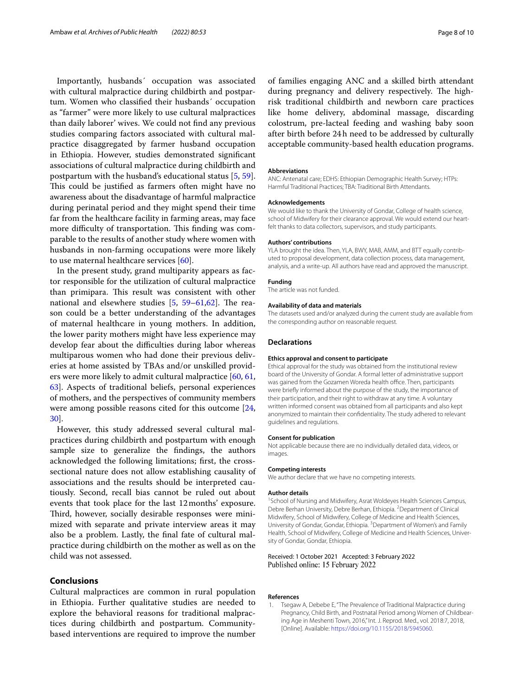Importantly, husbands´ occupation was associated with cultural malpractice during childbirth and postpartum. Women who classifed their husbands´ occupation as "farmer'' were more likely to use cultural malpractices than daily laborer' wives. We could not fnd any previous studies comparing factors associated with cultural malpractice disaggregated by farmer husband occupation in Ethiopia. However, studies demonstrated signifcant associations of cultural malpractice during childbirth and postpartum with the husband's educational status [[5,](#page-8-3) [59](#page-9-15)]. This could be justified as farmers often might have no awareness about the disadvantage of harmful malpractice during perinatal period and they might spend their time far from the healthcare facility in farming areas, may face more difficulty of transportation. This finding was comparable to the results of another study where women with husbands in non-farming occupations were more likely to use maternal healthcare services [[60\]](#page-9-16).

In the present study, grand multiparity appears as factor responsible for the utilization of cultural malpractice than primipara. This result was consistent with other national and elsewhere studies  $[5, 59-61, 62]$  $[5, 59-61, 62]$  $[5, 59-61, 62]$  $[5, 59-61, 62]$  $[5, 59-61, 62]$ . The reason could be a better understanding of the advantages of maternal healthcare in young mothers. In addition, the lower parity mothers might have less experience may develop fear about the difficulties during labor whereas multiparous women who had done their previous deliveries at home assisted by TBAs and/or unskilled providers were more likely to admit cultural malpractice [\[60,](#page-9-16) [61](#page-9-17), [63\]](#page-9-19). Aspects of traditional beliefs, personal experiences of mothers, and the perspectives of community members were among possible reasons cited for this outcome [\[24](#page-8-18), [30\]](#page-8-36).

However, this study addressed several cultural malpractices during childbirth and postpartum with enough sample size to generalize the fndings, the authors acknowledged the following limitations; frst, the crosssectional nature does not allow establishing causality of associations and the results should be interpreted cautiously. Second, recall bias cannot be ruled out about events that took place for the last 12months' exposure. Third, however, socially desirable responses were minimized with separate and private interview areas it may also be a problem. Lastly, the fnal fate of cultural malpractice during childbirth on the mother as well as on the child was not assessed.

# **Conclusions**

Cultural malpractices are common in rural population in Ethiopia. Further qualitative studies are needed to explore the behavioral reasons for traditional malpractices during childbirth and postpartum. Communitybased interventions are required to improve the number

of families engaging ANC and a skilled birth attendant during pregnancy and delivery respectively. The highrisk traditional childbirth and newborn care practices like home delivery, abdominal massage, discarding colostrum, pre-lacteal feeding and washing baby soon after birth before 24h need to be addressed by culturally acceptable community-based health education programs.

#### **Abbreviations**

ANC: Antenatal care; EDHS: Ethiopian Demographic Health Survey; HTPs: Harmful Traditional Practices; TBA: Traditional Birth Attendants.

#### **Acknowledgements**

We would like to thank the University of Gondar, College of health science, school of Midwifery for their clearance approval. We would extend our heartfelt thanks to data collectors, supervisors, and study participants.

#### **Authors' contributions**

YLA brought the idea. Then, YLA, BWY, MAB, AMM, and BTT equally contributed to proposal development, data collection process, data management, analysis, and a write-up. All authors have read and approved the manuscript.

#### **Funding**

The article was not funded.

#### **Availability of data and materials**

The datasets used and/or analyzed during the current study are available from the corresponding author on reasonable request.

#### **Declarations**

#### **Ethics approval and consent to participate**

Ethical approval for the study was obtained from the institutional review board of the University of Gondar. A formal letter of administrative support was gained from the Gozamen Woreda health office. Then, participants were briefy informed about the purpose of the study, the importance of their participation, and their right to withdraw at any time. A voluntary written informed consent was obtained from all participants and also kept anonymized to maintain their confdentiality. The study adhered to relevant guidelines and regulations.

#### **Consent for publication**

Not applicable because there are no individually detailed data, videos, or images.

#### **Competing interests**

We author declare that we have no competing interests.

#### **Author details**

<sup>1</sup> School of Nursing and Midwifery, Asrat Woldeyes Health Sciences Campus, Debre Berhan University, Debre Berhan, Ethiopia. <sup>2</sup> Department of Clinical Midwifery, School of Midwifery, College of Medicine and Health Sciences, University of Gondar, Gondar, Ethiopia. <sup>3</sup> Department of Women's and Family Health, School of Midwifery, College of Medicine and Health Sciences, University of Gondar, Gondar, Ethiopia.

#### Received: 1 October 2021 Accepted: 3 February 2022 Published online: 15 February 2022

#### **References**

<span id="page-7-0"></span>1. Tsegaw A, Debebe E, "The Prevalence of Traditional Malpractice during Pregnancy, Child Birth, and Postnatal Period among Women of Childbearing Age in Meshenti Town, 2016," Int. J. Reprod. Med., vol. 2018:7, 2018, [Online]. Available:<https://doi.org/10.1155/2018/5945060>.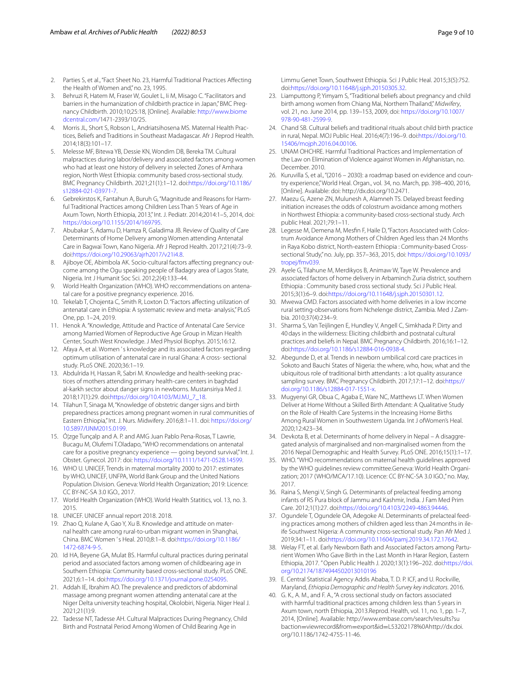- <span id="page-8-1"></span><span id="page-8-0"></span>3. Behruzi R, Hatem M, Fraser W, Goulet L, Ii M, Misago C. "Facilitators and barriers in the humanization of childbirth practice in Japan," BMC Pregnancy Childbirth. 2010;10;25:18, [Online]. Available: [http://www.biome](http://www.biomedcentral.com/) [dcentral.com/1](http://www.biomedcentral.com/)471-2393/10/25.
- <span id="page-8-2"></span>4. Morris JL, Short S, Robson L, Andriatsihosena MS. Maternal Health Practices, Beliefs and Traditions in Southeast Madagascar. Afr J Reprod Health. 2014;18(3):101–17.
- <span id="page-8-3"></span>5. Melesse MF, Bitewa YB, Dessie KN, Wondim DB, Bereka TM. Cultural malpractices during labor/delivery and associated factors among women who had at least one history of delivery in selected Zones of Amhara region, North West Ethiopia: community based cross-sectional study. BMC Pregnancy Childbirth. 2021;21(1):1–12. doi[:https://doi.org/10.1186/](https://doi.org/10.1186/s12884-021-03971-7) [s12884-021-03971-7](https://doi.org/10.1186/s12884-021-03971-7).
- <span id="page-8-4"></span>6. Gebrekirstos K, Fantahun A, Buruh G, "Magnitude and Reasons for Harmful Traditional Practices among Children Less Than 5 Years of Age in Axum Town, North Ethiopia, 2013," Int. J. Pediatr*.* 2014;2014:1–5, 2014, doi: [https://doi.org/10.1155/2014/169795.](https://doi.org/10.1155/2014/169795)
- <span id="page-8-25"></span>7. Abubakar S, Adamu D, Hamza R, Galadima JB. Review of Quality of Care Determinants of Home Delivery among Women attending Antenatal Care in Bagwai Town, Kano Nigeria. Afr J Reprod Health. 2017;21(4):73–9. doi:[https://doi.org/10.29063/ajrh2017/v21i4.8.](https://doi.org/10.29063/ajrh2017/v21i4.8)
- <span id="page-8-5"></span>8. Ajiboye OE, Abimbola AK. Socio-cultural factors affecting pregnancy outcome among the Ogu speaking people of Badagry area of Lagos State, Nigeria. Int J Humanit Soc Sci. 2012;2(4):133–44.
- <span id="page-8-6"></span>9. World Health Organization (WHO). WHO reccommendations on antenatal care for a positive pregnancy experience. 2016.
- <span id="page-8-7"></span>10. Tekelab T, Chojenta C, Smith R, Loxton D. "Factors afecting utilization of antenatal care in Ethiopia: A systematic review and meta- analysis," PLoS One, pp. 1–24, 2019.
- <span id="page-8-8"></span>11. Henok A. "Knowledge, Attitude and Practice of Antenatal Care Service among Married Women of Reproductive Age Group in Mizan Health Center, South West Knowledge. J Med Physiol Biophys. 2015;16:12.
- <span id="page-8-9"></span>12. Afaya A, et al. Women 's knowledge and its associated factors regarding optimum utilisation of antenatal care in rural Ghana: A cross- sectional study. PLoS ONE. 2020;36:1–19.
- <span id="page-8-10"></span>13. Abdulrida H, Hassan R, Sabri M. Knowledge and health-seeking practices of mothers attending primary health-care centers in baghdad al-karkh sector about danger signs in newborns. Mustansiriya Med J. 2018;17(1):29. doi[:https://doi.org/10.4103/MJ.MJ\\_7\\_18](https://doi.org/10.4103/MJ.MJ_7_18).
- <span id="page-8-11"></span>14. Tilahun T, Sinaga M, "Knowledge of obstetric danger signs and birth preparedness practices among pregnant women in rural communities of Eastern Ethiopia," Int. J. Nurs. Midwifery. 2016;8:1–11. doi: [https://doi.org/](https://doi.org/10.5897/IJNM2015.0199) [10.5897/IJNM2015.0199.](https://doi.org/10.5897/IJNM2015.0199)
- <span id="page-8-12"></span>15. Ó¦zge Tunçalp and A. P. and AMG Juan Pablo Pena-Rosas, T Lawrie, Bucagu M, Olufemi T.Oladapo, "WHO recommendations on antenatal care for a positive pregnancy experience - going beyond survival," Int. J. Obstet. Gynecol. 2017: doi:<https://doi.org/10.1111/1471-0528.14599>.
- <span id="page-8-13"></span>16. WHO U. UNICEF, Trends in maternal mortality 2000 to 2017: estimates by WHO, UNICEF, UNFPA, World Bank Group and the United Nations Population Division. Geneva: World Health Organization; 2019: Licence: CC BY-NC-SA 3.0 IGO., 2017.
- 17. World Health Organization (WHO). World Health Statitics, vol. 13, no. 3. 2015.
- <span id="page-8-14"></span>18. UNICEF. UNICEF annual report 2018. 2018.
- <span id="page-8-15"></span>19. Zhao Q, Kulane A, Gao Y, Xu B. Knowledge and attitude on maternal health care among rural-to-urban migrant women in Shanghai, China. BMC Women ' s Heal. 2010;8:1–8. doi[:https://doi.org/10.1186/](https://doi.org/10.1186/1472-6874-9-5) [1472-6874-9-5.](https://doi.org/10.1186/1472-6874-9-5)
- <span id="page-8-16"></span>20. Id HA, Beyene GA, Mulat BS. Harmful cultural practices during perinatal period and associated factors among women of childbearing age in Southern Ethiopia: Community based cross-sectional study. PLoS ONE. 2021;6:1–14. doi[:https://doi.org/10.1371/journal.pone.0254095.](https://doi.org/10.1371/journal.pone.0254095)
- <span id="page-8-17"></span>21. Addah IE, Ibrahim AO. The prevalence and predictors of abdominal massage among pregnant women attending antenatal care at the Niger Delta university teaching hospital, Okolobiri, Nigeria. Niger Heal J. 2021;21(1):9.
- <span id="page-8-27"></span>22. Tadesse NT, Tadesse AH. Cultural Malpractices During Pregnancy, Child Birth and Postnatal Period Among Women of Child Bearing Age in

Limmu Genet Town, Southwest Ethiopia. Sci J Public Heal. 2015;3(5):752. doi:[https://doi.org/10.11648/j.sjph.20150305.32.](https://doi.org/10.11648/j.sjph.20150305.32)

- 23. Liamputtong P, Yimyam S, "Traditional beliefs about pregnancy and child birth among women from Chiang Mai, Northern Thailand," *Midwifery*, vol. 21, no. June 2014, pp. 139–153, 2009, doi: [https://doi.org/10.1007/](https://doi.org/10.1007/978-90-481-2599-9) [978-90-481-2599-9](https://doi.org/10.1007/978-90-481-2599-9).
- <span id="page-8-18"></span>24. Chand SB. Cultural beliefs and traditional rituals about child birth practice in rural, Nepal. MOJ Public Heal. 2016;4(7):196–9. doi:[https://doi.org/10.](https://doi.org/10.15406/mojph.2016.04.00106) [15406/mojph.2016.04.00106.](https://doi.org/10.15406/mojph.2016.04.00106)
- <span id="page-8-19"></span>25. UNAM OHCHRE. Harmful Traditional Practices and Implementation of the Law on Elimination of Violence against Women in Afghanistan, no. December. 2010.
- <span id="page-8-20"></span>26. Kuruvilla S, et al., "(2016 – 2030): a roadmap based on evidence and country experience," World Heal. Organ., vol. 34, no. March, pp. 398–400, 2016, [Online]. Available: doi: http://dx.doi.org/10.2471.
- <span id="page-8-21"></span>27. Maezu G, Azene ZN, Mulunesh A, Alamneh TS. Delayed breast feeding initiation increases the odds of colostrum avoidance among mothers in Northwest Ethiopia: a community-based cross-sectional study. Arch public Heal. 2021;79:1–11.
- <span id="page-8-22"></span>28. Legesse M, Demena M, Mesfn F, Haile D, "Factors Associated with Colostrum Avoidance Among Mothers of Children Aged less than 24 Months in Raya Kobo district, North-eastern Ethiopia : Community-based Crosssectional Study," no. July, pp. 357–363, 2015, doi: [https://doi.org/10.1093/](https://doi.org/10.1093/tropej/fmv039) [tropej/fmv039.](https://doi.org/10.1093/tropej/fmv039)
- <span id="page-8-23"></span>29. Ayele G, Tilahune M, Merdikyos B, Animaw W, Taye W. Prevalence and associated factors of home delivery in Arbaminch Zuria district, southern Ethiopia : Community based cross sectional study. Sci J Public Heal. 2015;3(1):6–9. doi[:https://doi.org/10.11648/j.sjph.20150301.12](https://doi.org/10.11648/j.sjph.20150301.12).
- <span id="page-8-36"></span>30. Mwewa CMD. Factors associated with home deliveries in a low income rural setting-observations from Nchelenge district, Zambia. Med J Zambia. 2010;37(4):234–9.
- <span id="page-8-24"></span>31. Sharma S, Van Teijlingen E, Hundley V, Angell C, Simkhada P. Dirty and 40days in the wilderness: Eliciting childbirth and postnatal cultural practices and beliefs in Nepal. BMC Pregnancy Childbirth. 2016;16:1–12. doi:[https://doi.org/10.1186/s12884-016-0938-4.](https://doi.org/10.1186/s12884-016-0938-4)
- <span id="page-8-26"></span>32. Abegunde D, et al. Trends in newborn umbilical cord care practices in Sokoto and Bauchi States of Nigeria: the where, who, how, what and the ubiquitous role of traditional birth attendants : a lot quality assurance sampling survey. BMC Pregnancy Childbirth. 2017;17:1–12. doi[:https://](https://doi.org/10.1186/s12884-017-1551-x) [doi.org/10.1186/s12884-017-1551-x](https://doi.org/10.1186/s12884-017-1551-x).
- <span id="page-8-28"></span>33. Mugyenyi GR, Obua C, Agaba E, Ware NC, Matthews LT. When Women Deliver at Home Without a Skilled Birth Attendant: A Qualitative Study on the Role of Health Care Systems in the Increasing Home Births Among Rural Women in Southwestern Uganda. Int J ofWomen's Heal. 2020;12:423–34.
- <span id="page-8-29"></span>34. Devkota B, et al. Determinants of home delivery in Nepal – A disaggregated analysis of marginalised and non-marginalised women from the 2016 Nepal Demographic and Health Survey. PLoS ONE. 2016;15(1):1–17.
- <span id="page-8-30"></span>35. WHO. "WHO recommendations on maternal health guidelines approved by the WHO guidelines review committee.Geneva: World Health Organization; 2017 (WHO/MCA/17.10). Licence: CC BY-NC-SA 3.0 IGO.," no. May, 2017.
- <span id="page-8-31"></span>36. Raina S, Mengi V, Singh G. Determinants of prelacteal feeding among infants of RS Pura block of Jammu and Kashmir, India. J Fam Med Prim Care. 2012;1(1):27. doi:[https://doi.org/10.4103/2249-4863.94446.](https://doi.org/10.4103/2249-4863.94446)
- <span id="page-8-32"></span>37. Ogundele T, Ogundele OA, Adegoke AI. Determinants of prelacteal feeding practices among mothers of children aged less than 24months in ileife Southwest Nigeria: A community cross-sectional study. Pan Afr Med J. 2019;34:1–11. doi:<https://doi.org/10.11604/pamj.2019.34.172.17642>.
- <span id="page-8-33"></span>38. Welay FT, et al. Early Newborn Bath and Associated Factors among Parturient Women Who Gave Birth in the Last Month in Harar Region, Eastern Ethiopia, 2017. " Open Public Health J. 2020;13(1):196–202. doi:[https://doi.](https://doi.org/10.2174/1874944502013010196) [org/10.2174/1874944502013010196](https://doi.org/10.2174/1874944502013010196)
- <span id="page-8-34"></span>39. E. Central Statistical Agency Addis Ababa, T. D. P. ICF, and U. Rockville, Maryland, *Ethiopia Demographic and Health Survey key indicators*. 2016.
- <span id="page-8-35"></span>40. G. K., A. M., and F. A., "A cross sectional study on factors associated with harmful traditional practices among children less than 5 years in Axum town, north Ethiopia, 2013.Reprod. Health, vol. 11, no. 1, pp. 1–7, 2014, [Online]. Available: http://www.embase.com/search/results?su baction=viewrecord&from=export&id=L53202178%0Ahttp://dx.doi. org/10.1186/1742-4755-11-46.